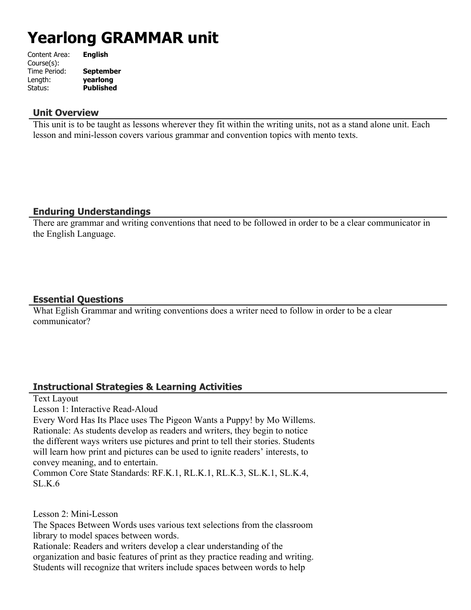# **Yearlong GRAMMAR unit**

| Content Area: | <b>English</b>   |
|---------------|------------------|
| Course(s):    |                  |
| Time Period:  | <b>September</b> |
| Length:       | yearlong         |
| Status:       | <b>Published</b> |
|               |                  |

#### **Unit Overview**

This unit is to be taught as lessons wherever they fit within the writing units, not as a stand alone unit. Each lesson and mini-lesson covers various grammar and convention topics with mento texts.

## **Enduring Understandings**

There are grammar and writing conventions that need to be followed in order to be a clear communicator in the English Language.

## **Essential Questions**

What Eglish Grammar and writing conventions does a writer need to follow in order to be a clear communicator?

# **Instructional Strategies & Learning Activities**

Text Layout

Lesson 1: Interactive Read-Aloud

Every Word Has Its Place uses The Pigeon Wants a Puppy! by Mo Willems. Rationale: As students develop as readers and writers, they begin to notice the different ways writers use pictures and print to tell their stories. Students will learn how print and pictures can be used to ignite readers' interests, to convey meaning, and to entertain.

Common Core State Standards: RF.K.1, RL.K.1, RL.K.3, SL.K.1, SL.K.4, SL.K.6

Lesson 2: Mini-Lesson

The Spaces Between Words uses various text selections from the classroom library to model spaces between words.

Rationale: Readers and writers develop a clear understanding of the organization and basic features of print as they practice reading and writing. Students will recognize that writers include spaces between words to help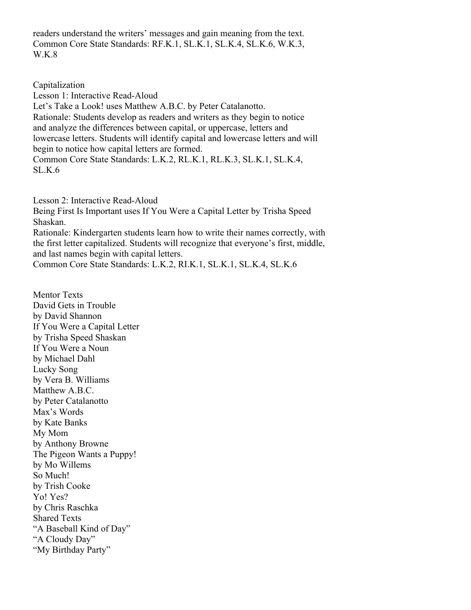readers understand the writers' messages and gain meaning from the text. Common Core State Standards: RF.K.1, SL.K.1, SL.K.4, SL.K.6, W.K.3, W.K.8

Capitalization

Lesson 1: Interactive Read-Aloud Let's Take a Look! uses Matthew A.B.C. by Peter Catalanotto. Rationale: Students develop as readers and writers as they begin to notice and analyze the differences between capital, or uppercase, letters and lowercase letters. Students will identify capital and lowercase letters and will begin to notice how capital letters are formed. Common Core State Standards: L.K.2, RL.K.1, RL.K.3, SL.K.1, SL.K.4, SL.K.6

Lesson 2: Interactive Read-Aloud Being First Is Important uses If You Were a Capital Letter by Trisha Speed Shaskan. Rationale: Kindergarten students learn how to write their names correctly, with the first letter capitalized. Students will recognize that everyone's first, middle, and last names begin with capital letters. Common Core State Standards: L.K.2, RI.K.1, SL.K.1, SL.K.4, SL.K.6

Mentor Texts David Gets in Trouble by David Shannon If You Were a Capital Letter by Trisha Speed Shaskan If You Were a Noun by Michael Dahl Lucky Song by Vera B. Williams Matthew A.B.C. by Peter Catalanotto Max's Words by Kate Banks My Mom by Anthony Browne The Pigeon Wants a Puppy! by Mo Willems So Much! by Trish Cooke Yo! Yes? by Chris Raschka Shared Texts "A Baseball Kind of Day" "A Cloudy Day" "My Birthday Party"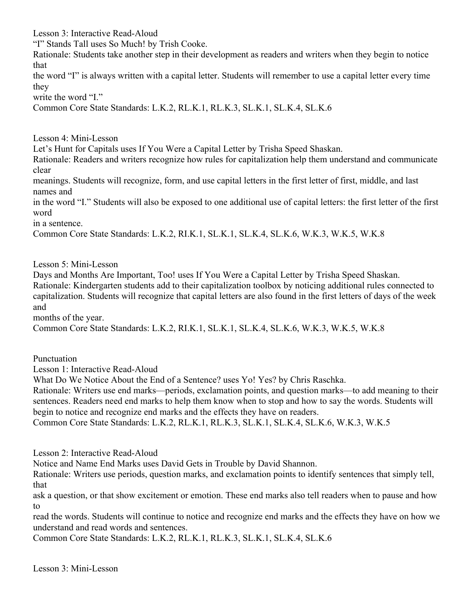Lesson 3: Interactive Read-Aloud

"I" Stands Tall uses So Much! by Trish Cooke.

Rationale: Students take another step in their development as readers and writers when they begin to notice that

the word "I" is always written with a capital letter. Students will remember to use a capital letter every time they

write the word "I."

Common Core State Standards: L.K.2, RL.K.1, RL.K.3, SL.K.1, SL.K.4, SL.K.6

Lesson 4: Mini-Lesson

Let's Hunt for Capitals uses If You Were a Capital Letter by Trisha Speed Shaskan.

Rationale: Readers and writers recognize how rules for capitalization help them understand and communicate clear

meanings. Students will recognize, form, and use capital letters in the first letter of first, middle, and last names and

in the word "I." Students will also be exposed to one additional use of capital letters: the first letter of the first word

in a sentence.

Common Core State Standards: L.K.2, RI.K.1, SL.K.1, SL.K.4, SL.K.6, W.K.3, W.K.5, W.K.8

Lesson 5: Mini-Lesson

Days and Months Are Important, Too! uses If You Were a Capital Letter by Trisha Speed Shaskan. Rationale: Kindergarten students add to their capitalization toolbox by noticing additional rules connected to capitalization. Students will recognize that capital letters are also found in the first letters of days of the week and

months of the year.

Common Core State Standards: L.K.2, RI.K.1, SL.K.1, SL.K.4, SL.K.6, W.K.3, W.K.5, W.K.8

Punctuation

Lesson 1: Interactive Read-Aloud

What Do We Notice About the End of a Sentence? uses Yo! Yes? by Chris Raschka.

Rationale: Writers use end marks—periods, exclamation points, and question marks—to add meaning to their sentences. Readers need end marks to help them know when to stop and how to say the words. Students will begin to notice and recognize end marks and the effects they have on readers.

Common Core State Standards: L.K.2, RL.K.1, RL.K.3, SL.K.1, SL.K.4, SL.K.6, W.K.3, W.K.5

Lesson 2: Interactive Read-Aloud

Notice and Name End Marks uses David Gets in Trouble by David Shannon.

Rationale: Writers use periods, question marks, and exclamation points to identify sentences that simply tell, that

ask a question, or that show excitement or emotion. These end marks also tell readers when to pause and how to

read the words. Students will continue to notice and recognize end marks and the effects they have on how we understand and read words and sentences.

Common Core State Standards: L.K.2, RL.K.1, RL.K.3, SL.K.1, SL.K.4, SL.K.6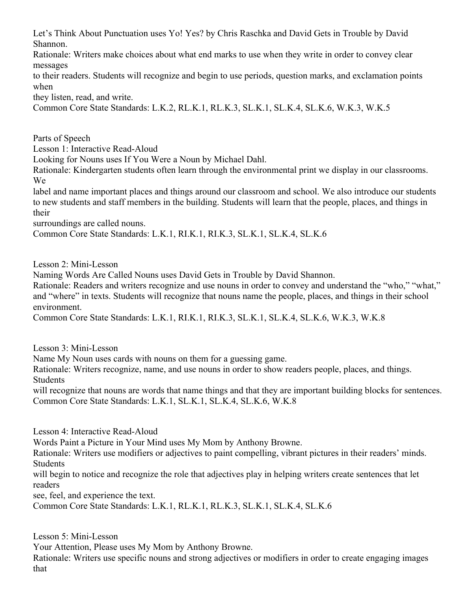Let's Think About Punctuation uses Yo! Yes? by Chris Raschka and David Gets in Trouble by David Shannon.

Rationale: Writers make choices about what end marks to use when they write in order to convey clear messages

to their readers. Students will recognize and begin to use periods, question marks, and exclamation points when

they listen, read, and write.

Common Core State Standards: L.K.2, RL.K.1, RL.K.3, SL.K.1, SL.K.4, SL.K.6, W.K.3, W.K.5

Parts of Speech

Lesson 1: Interactive Read-Aloud

Looking for Nouns uses If You Were a Noun by Michael Dahl.

Rationale: Kindergarten students often learn through the environmental print we display in our classrooms. We

label and name important places and things around our classroom and school. We also introduce our students to new students and staff members in the building. Students will learn that the people, places, and things in their

surroundings are called nouns.

Common Core State Standards: L.K.1, RI.K.1, RI.K.3, SL.K.1, SL.K.4, SL.K.6

Lesson 2: Mini-Lesson

Naming Words Are Called Nouns uses David Gets in Trouble by David Shannon.

Rationale: Readers and writers recognize and use nouns in order to convey and understand the "who," "what," and "where" in texts. Students will recognize that nouns name the people, places, and things in their school environment.

Common Core State Standards: L.K.1, RI.K.1, RI.K.3, SL.K.1, SL.K.4, SL.K.6, W.K.3, W.K.8

Lesson 3: Mini-Lesson

Name My Noun uses cards with nouns on them for a guessing game.

Rationale: Writers recognize, name, and use nouns in order to show readers people, places, and things. Students

will recognize that nouns are words that name things and that they are important building blocks for sentences. Common Core State Standards: L.K.1, SL.K.1, SL.K.4, SL.K.6, W.K.8

Lesson 4: Interactive Read-Aloud

Words Paint a Picture in Your Mind uses My Mom by Anthony Browne.

Rationale: Writers use modifiers or adjectives to paint compelling, vibrant pictures in their readers' minds. **Students** 

will begin to notice and recognize the role that adjectives play in helping writers create sentences that let readers

see, feel, and experience the text.

Common Core State Standards: L.K.1, RL.K.1, RL.K.3, SL.K.1, SL.K.4, SL.K.6

Lesson 5: Mini-Lesson

Your Attention, Please uses My Mom by Anthony Browne.

Rationale: Writers use specific nouns and strong adjectives or modifiers in order to create engaging images that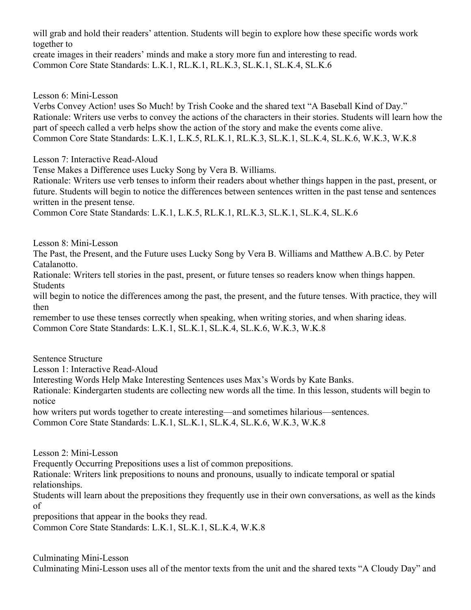will grab and hold their readers' attention. Students will begin to explore how these specific words work together to

create images in their readers' minds and make a story more fun and interesting to read. Common Core State Standards: L.K.1, RL.K.1, RL.K.3, SL.K.1, SL.K.4, SL.K.6

Lesson 6: Mini-Lesson

Verbs Convey Action! uses So Much! by Trish Cooke and the shared text "A Baseball Kind of Day." Rationale: Writers use verbs to convey the actions of the characters in their stories. Students will learn how the part of speech called a verb helps show the action of the story and make the events come alive. Common Core State Standards: L.K.1, L.K.5, RL.K.1, RL.K.3, SL.K.1, SL.K.4, SL.K.6, W.K.3, W.K.8

Lesson 7: Interactive Read-Aloud

Tense Makes a Difference uses Lucky Song by Vera B. Williams.

Rationale: Writers use verb tenses to inform their readers about whether things happen in the past, present, or future. Students will begin to notice the differences between sentences written in the past tense and sentences written in the present tense.

Common Core State Standards: L.K.1, L.K.5, RL.K.1, RL.K.3, SL.K.1, SL.K.4, SL.K.6

Lesson 8: Mini-Lesson

The Past, the Present, and the Future uses Lucky Song by Vera B. Williams and Matthew A.B.C. by Peter Catalanotto.

Rationale: Writers tell stories in the past, present, or future tenses so readers know when things happen. Students

will begin to notice the differences among the past, the present, and the future tenses. With practice, they will then

remember to use these tenses correctly when speaking, when writing stories, and when sharing ideas. Common Core State Standards: L.K.1, SL.K.1, SL.K.4, SL.K.6, W.K.3, W.K.8

Sentence Structure

Lesson 1: Interactive Read-Aloud

Interesting Words Help Make Interesting Sentences uses Max's Words by Kate Banks.

Rationale: Kindergarten students are collecting new words all the time. In this lesson, students will begin to notice

how writers put words together to create interesting—and sometimes hilarious—sentences.

Common Core State Standards: L.K.1, SL.K.1, SL.K.4, SL.K.6, W.K.3, W.K.8

Lesson 2: Mini-Lesson

Frequently Occurring Prepositions uses a list of common prepositions.

Rationale: Writers link prepositions to nouns and pronouns, usually to indicate temporal or spatial relationships.

Students will learn about the prepositions they frequently use in their own conversations, as well as the kinds of

prepositions that appear in the books they read.

Common Core State Standards: L.K.1, SL.K.1, SL.K.4, W.K.8

Culminating Mini-Lesson Culminating Mini-Lesson uses all of the mentor texts from the unit and the shared texts "A Cloudy Day" and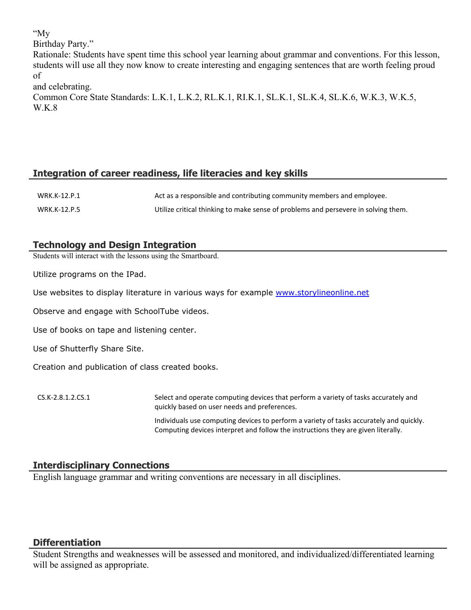"My

Birthday Party."

Rationale: Students have spent time this school year learning about grammar and conventions. For this lesson, students will use all they now know to create interesting and engaging sentences that are worth feeling proud of

and celebrating.

Common Core State Standards: L.K.1, L.K.2, RL.K.1, RI.K.1, SL.K.1, SL.K.4, SL.K.6, W.K.3, W.K.5, W.K.8

# **Integration of career readiness, life literacies and key skills**

| WRK.K-12.P.1 | Act as a responsible and contributing community members and employee.              |
|--------------|------------------------------------------------------------------------------------|
| WRK.K-12.P.5 | Utilize critical thinking to make sense of problems and persevere in solving them. |

# **Technology and Design Integration**

Students will interact with the lessons using the Smartboard.

Utilize programs on the IPad.

Use websites to display literature in various ways for example [www.storylineonline.net](http://www.storylineonline.net/)

Observe and engage with SchoolTube videos.

Use of books on tape and listening center.

Use of Shutterfly Share Site.

Creation and publication of class created books.

CS.K-2.8.1.2.CS.1 Select and operate computing devices that perform a variety of tasks accurately and quickly based on user needs and preferences. Individuals use computing devices to perform a variety of tasks accurately and quickly. Computing devices interpret and follow the instructions they are given literally.

# **Interdisciplinary Connections**

English language grammar and writing conventions are necessary in all disciplines.

# **Differentiation**

Student Strengths and weaknesses will be assessed and monitored, and individualized/differentiated learning will be assigned as appropriate.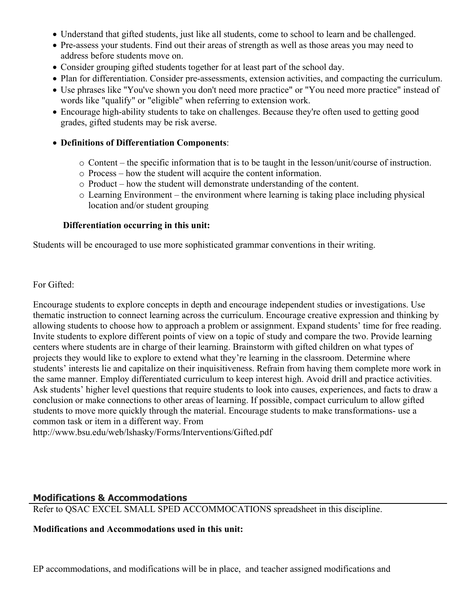- Understand that gifted students, just like all students, come to school to learn and be challenged.
- Pre-assess your students. Find out their areas of strength as well as those areas you may need to address before students move on.
- Consider grouping gifted students together for at least part of the school day.
- Plan for differentiation. Consider pre-assessments, extension activities, and compacting the curriculum.
- Use phrases like "You've shown you don't need more practice" or "You need more practice" instead of words like "qualify" or "eligible" when referring to extension work.
- Encourage high-ability students to take on challenges. Because they're often used to getting good grades, gifted students may be risk averse.

#### **Definitions of Differentiation Components**:

- o Content the specific information that is to be taught in the lesson/unit/course of instruction.
- o Process how the student will acquire the content information.
- o Product how the student will demonstrate understanding of the content.
- o Learning Environment the environment where learning is taking place including physical location and/or student grouping

#### **Differentiation occurring in this unit:**

Students will be encouraged to use more sophisticated grammar conventions in their writing.

For Gifted:

Encourage students to explore concepts in depth and encourage independent studies or investigations. Use thematic instruction to connect learning across the curriculum. Encourage creative expression and thinking by allowing students to choose how to approach a problem or assignment. Expand students' time for free reading. Invite students to explore different points of view on a topic of study and compare the two. Provide learning centers where students are in charge of their learning. Brainstorm with gifted children on what types of projects they would like to explore to extend what they're learning in the classroom. Determine where students' interests lie and capitalize on their inquisitiveness. Refrain from having them complete more work in the same manner. Employ differentiated curriculum to keep interest high. Avoid drill and practice activities. Ask students' higher level questions that require students to look into causes, experiences, and facts to draw a conclusion or make connections to other areas of learning. If possible, compact curriculum to allow gifted students to move more quickly through the material. Encourage students to make transformations- use a common task or item in a different way. From

http://www.bsu.edu/web/lshasky/Forms/Interventions/Gifted.pdf

#### **Modifications & Accommodations**

Refer to QSAC EXCEL SMALL SPED ACCOMMOCATIONS spreadsheet in this discipline.

#### **Modifications and Accommodations used in this unit:**

EP accommodations, and modifications will be in place, and teacher assigned modifications and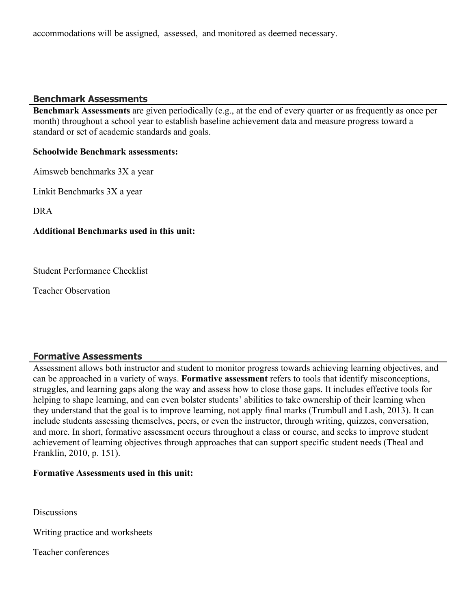accommodations will be assigned, assessed, and monitored as deemed necessary.

## **Benchmark Assessments**

**Benchmark Assessments** are given periodically (e.g., at the end of every quarter or as frequently as once per month) throughout a school year to establish baseline achievement data and measure progress toward a standard or set of academic standards and goals.

#### **Schoolwide Benchmark assessments:**

Aimsweb benchmarks 3X a year

Linkit Benchmarks 3X a year

DRA

#### **Additional Benchmarks used in this unit:**

Student Performance Checklist

Teacher Observation

# **Formative Assessments**

Assessment allows both instructor and student to monitor progress towards achieving learning objectives, and can be approached in a variety of ways. **Formative assessment** refers to tools that identify misconceptions, struggles, and learning gaps along the way and assess how to close those gaps. It includes effective tools for helping to shape learning, and can even bolster students' abilities to take ownership of their learning when they understand that the goal is to improve learning, not apply final marks (Trumbull and Lash, 2013). It can include students assessing themselves, peers, or even the instructor, through writing, quizzes, conversation, and more. In short, formative assessment occurs throughout a class or course, and seeks to improve student achievement of learning objectives through approaches that can support specific student needs (Theal and Franklin, 2010, p. 151).

#### **Formative Assessments used in this unit:**

**Discussions** 

Writing practice and worksheets

Teacher conferences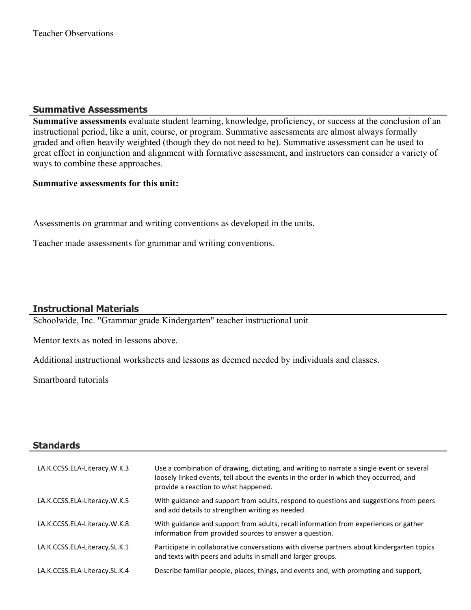# **Summative Assessments**

**Summative assessments** evaluate student learning, knowledge, proficiency, or success at the conclusion of an instructional period, like a unit, course, or program. Summative assessments are almost always formally graded and often heavily weighted (though they do not need to be). Summative assessment can be used to great effect in conjunction and alignment with formative assessment, and instructors can consider a variety of ways to combine these approaches.

#### **Summative assessments for this unit:**

Assessments on grammar and writing conventions as developed in the units.

Teacher made assessments for grammar and writing conventions.

# **Instructional Materials**

Schoolwide, Inc. "Grammar grade Kindergarten" teacher instructional unit

Mentor texts as noted in lessons above.

Additional instructional worksheets and lessons as deemed needed by individuals and classes.

Smartboard tutorials

#### **Standards**

| LA.K.CCSS.ELA-Literacy.W.K.3  | Use a combination of drawing, dictating, and writing to narrate a single event or several<br>loosely linked events, tell about the events in the order in which they occurred, and<br>provide a reaction to what happened. |
|-------------------------------|----------------------------------------------------------------------------------------------------------------------------------------------------------------------------------------------------------------------------|
| LA.K.CCSS.ELA-Literacy.W.K.5  | With guidance and support from adults, respond to questions and suggestions from peers<br>and add details to strengthen writing as needed.                                                                                 |
| LA.K.CCSS.ELA-Literacy.W.K.8  | With guidance and support from adults, recall information from experiences or gather<br>information from provided sources to answer a question.                                                                            |
| LA.K.CCSS.ELA-Literacy.SL.K.1 | Participate in collaborative conversations with diverse partners about kindergarten topics<br>and texts with peers and adults in small and larger groups.                                                                  |
| LA.K.CCSS.ELA-Literacy.SL.K.4 | Describe familiar people, places, things, and events and, with prompting and support,                                                                                                                                      |